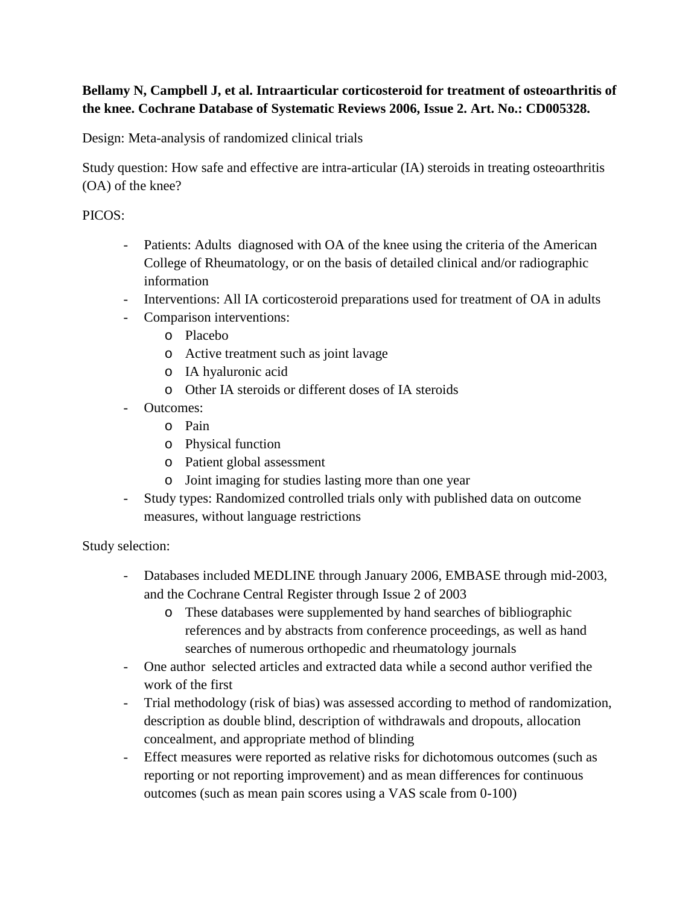# **Bellamy N, Campbell J, et al. Intraarticular corticosteroid for treatment of osteoarthritis of the knee. Cochrane Database of Systematic Reviews 2006, Issue 2. Art. No.: CD005328.**

Design: Meta-analysis of randomized clinical trials

Study question: How safe and effective are intra-articular (IA) steroids in treating osteoarthritis (OA) of the knee?

## PICOS:

- Patients: Adults diagnosed with OA of the knee using the criteria of the American College of Rheumatology, or on the basis of detailed clinical and/or radiographic information
- Interventions: All IA corticosteroid preparations used for treatment of OA in adults
- Comparison interventions:
	- o Placebo
	- o Active treatment such as joint lavage
	- o IA hyaluronic acid
	- o Other IA steroids or different doses of IA steroids
- Outcomes:
	- o Pain
	- o Physical function
	- o Patient global assessment
	- o Joint imaging for studies lasting more than one year
- Study types: Randomized controlled trials only with published data on outcome measures, without language restrictions

### Study selection:

- Databases included MEDLINE through January 2006, EMBASE through mid-2003, and the Cochrane Central Register through Issue 2 of 2003
	- o These databases were supplemented by hand searches of bibliographic references and by abstracts from conference proceedings, as well as hand searches of numerous orthopedic and rheumatology journals
- One author selected articles and extracted data while a second author verified the work of the first
- Trial methodology (risk of bias) was assessed according to method of randomization, description as double blind, description of withdrawals and dropouts, allocation concealment, and appropriate method of blinding
- Effect measures were reported as relative risks for dichotomous outcomes (such as reporting or not reporting improvement) and as mean differences for continuous outcomes (such as mean pain scores using a VAS scale from 0-100)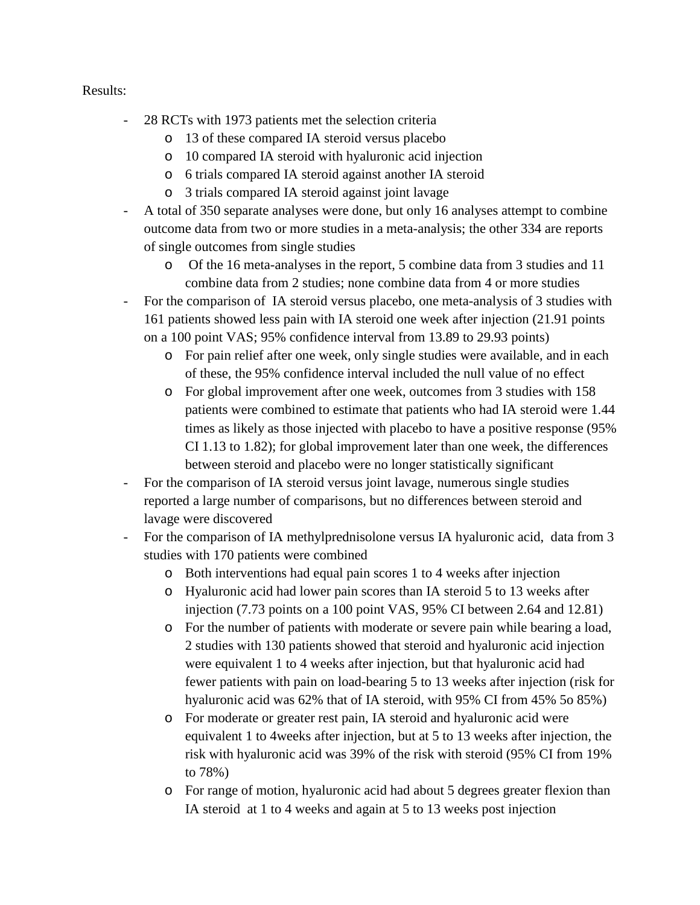#### Results:

- 28 RCTs with 1973 patients met the selection criteria
	- o 13 of these compared IA steroid versus placebo
	- o 10 compared IA steroid with hyaluronic acid injection
	- o 6 trials compared IA steroid against another IA steroid
	- o 3 trials compared IA steroid against joint lavage
- A total of 350 separate analyses were done, but only 16 analyses attempt to combine outcome data from two or more studies in a meta-analysis; the other 334 are reports of single outcomes from single studies
	- o Of the 16 meta-analyses in the report, 5 combine data from 3 studies and 11 combine data from 2 studies; none combine data from 4 or more studies
- For the comparison of IA steroid versus placebo, one meta-analysis of 3 studies with 161 patients showed less pain with IA steroid one week after injection (21.91 points on a 100 point VAS; 95% confidence interval from 13.89 to 29.93 points)
	- o For pain relief after one week, only single studies were available, and in each of these, the 95% confidence interval included the null value of no effect
	- o For global improvement after one week, outcomes from 3 studies with 158 patients were combined to estimate that patients who had IA steroid were 1.44 times as likely as those injected with placebo to have a positive response (95% CI 1.13 to 1.82); for global improvement later than one week, the differences between steroid and placebo were no longer statistically significant
- For the comparison of IA steroid versus joint lavage, numerous single studies reported a large number of comparisons, but no differences between steroid and lavage were discovered
- For the comparison of IA methylprednisolone versus IA hyaluronic acid, data from 3 studies with 170 patients were combined
	- o Both interventions had equal pain scores 1 to 4 weeks after injection
	- o Hyaluronic acid had lower pain scores than IA steroid 5 to 13 weeks after injection (7.73 points on a 100 point VAS, 95% CI between 2.64 and 12.81)
	- o For the number of patients with moderate or severe pain while bearing a load, 2 studies with 130 patients showed that steroid and hyaluronic acid injection were equivalent 1 to 4 weeks after injection, but that hyaluronic acid had fewer patients with pain on load-bearing 5 to 13 weeks after injection (risk for hyaluronic acid was 62% that of IA steroid, with 95% CI from 45% 5o 85%)
	- o For moderate or greater rest pain, IA steroid and hyaluronic acid were equivalent 1 to 4weeks after injection, but at 5 to 13 weeks after injection, the risk with hyaluronic acid was 39% of the risk with steroid (95% CI from 19% to 78%)
	- o For range of motion, hyaluronic acid had about 5 degrees greater flexion than IA steroid at 1 to 4 weeks and again at 5 to 13 weeks post injection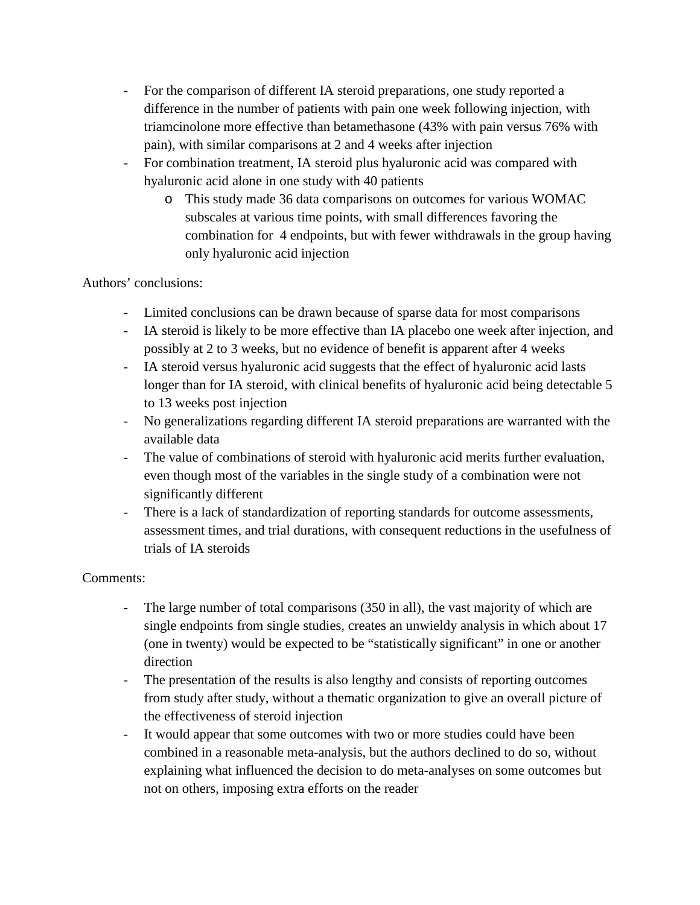- For the comparison of different IA steroid preparations, one study reported a difference in the number of patients with pain one week following injection, with triamcinolone more effective than betamethasone (43% with pain versus 76% with pain), with similar comparisons at 2 and 4 weeks after injection
- For combination treatment, IA steroid plus hyaluronic acid was compared with hyaluronic acid alone in one study with 40 patients
	- o This study made 36 data comparisons on outcomes for various WOMAC subscales at various time points, with small differences favoring the combination for 4 endpoints, but with fewer withdrawals in the group having only hyaluronic acid injection

# Authors' conclusions:

- Limited conclusions can be drawn because of sparse data for most comparisons
- IA steroid is likely to be more effective than IA placebo one week after injection, and possibly at 2 to 3 weeks, but no evidence of benefit is apparent after 4 weeks
- IA steroid versus hyaluronic acid suggests that the effect of hyaluronic acid lasts longer than for IA steroid, with clinical benefits of hyaluronic acid being detectable 5 to 13 weeks post injection
- No generalizations regarding different IA steroid preparations are warranted with the available data
- The value of combinations of steroid with hyaluronic acid merits further evaluation, even though most of the variables in the single study of a combination were not significantly different
- There is a lack of standardization of reporting standards for outcome assessments, assessment times, and trial durations, with consequent reductions in the usefulness of trials of IA steroids

### Comments:

- The large number of total comparisons (350 in all), the vast majority of which are single endpoints from single studies, creates an unwieldy analysis in which about 17 (one in twenty) would be expected to be "statistically significant" in one or another direction
- The presentation of the results is also lengthy and consists of reporting outcomes from study after study, without a thematic organization to give an overall picture of the effectiveness of steroid injection
- It would appear that some outcomes with two or more studies could have been combined in a reasonable meta-analysis, but the authors declined to do so, without explaining what influenced the decision to do meta-analyses on some outcomes but not on others, imposing extra efforts on the reader